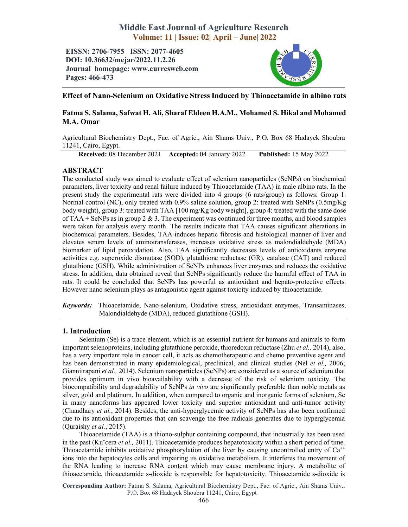# Middle East Journal of Agriculture Research Volume: 11 | Issue: 02| April – June| 2022

EISSN: 2706-7955 ISSN: 2077-4605 DOI: 10.36632/mejar/2022.11.2.26 Journal homepage: www.curresweb.com Pages: 466-473



# Effect of Nano-Selenium on Oxidative Stress Induced by Thioacetamide in albino rats

# Fatma S. Salama, Safwat H. Ali, Sharaf Eldeen H.A.M., Mohamed S. Hikal and Mohamed M.A. Omar

Agricultural Biochemistry Dept., Fac. of Agric., Ain Shams Univ., P.O. Box 68 Hadayek Shoubra 11241, Cairo, Egypt.

Received: 08 December 2021 Accepted: 04 January 2022 Published: 15 May 2022

# ABSTRACT

The conducted study was aimed to evaluate effect of selenium nanoparticles (SeNPs) on biochemical parameters, liver toxicity and renal failure induced by Thioacetamide (TAA) in male albino rats. In the present study the experimental rats were divided into 4 groups (6 rats/group) as follows: Group 1: Normal control (NC), only treated with 0.9% saline solution, group 2: treated with SeNPs (0.5mg/Kg body weight), group 3: treated with TAA [100 mg/Kg body weight], group 4: treated with the same dose of TAA + SeNPs as in group 2  $\&$  3. The experiment was continued for three months, and blood samples were taken for analysis every month. The results indicate that TAA causes significant alterations in biochemical parameters. Besides, TAA-induces hepatic fibrosis and histological manner of liver and elevates serum levels of aminotransferases, increases oxidative stress as malondialdehyde (MDA) biomarker of lipid peroxidation. Also, TAA significantly decreases levels of antioxidants enzyme activities e.g. superoxide dismutase (SOD), glutathione reductase (GR), catalase (CAT) and reduced glutathione (GSH). While administration of SeNPs enhances liver enzymes and reduces the oxidative stress. In addition, data obtained reveal that SeNPs significantly reduce the harmful effect of TAA in rats. It could be concluded that SeNPs has powerful as antioxidant and hepato-protective effects. However nano selenium plays as antagonistic agent against toxicity induced by thioacetamide.

*Keywords:* Thioacetamide, Nano-selenium, Oxidative stress, antioxidant enzymes, Transaminases, Malondialdehyde (MDA), reduced glutathione (GSH).

### 1. Introduction

Selenium (Se) is a trace element, which is an essential nutrient for humans and animals to form important selenoproteins, including glutathione peroxide, thioredoxin reductase (Zhu *et al.,* 2014), also, has a very important role in cancer cell, it acts as chemotherapeutic and chemo preventive agent and has been demonstrated in many epidemiological, preclinical, and clinical studies (Nel *et al.,* 2006; Giannitrapani *et al.,* 2014). Selenium nanoparticles (SeNPs) are considered as a source of selenium that provides optimum in vivo bioavailability with a decrease of the risk of selenium toxicity. The biocompatibility and degradability of SeNPs *in vivo* are significantly preferable than noble metals as silver, gold and platinum. In addition, when compared to organic and inorganic forms of selenium, Se in many nanoforms has appeared lower toxicity and superior antioxidant and anti-tumor activity (Chaudhary *et al.*, 2014). Besides, the anti-hyperglycemic activity of SeNPs has also been confirmed due to its antioxidant properties that can scavenge the free radicals generates due to hyperglycemia (Quraishy *et al.*, 2015).

Thioacetamide (TAA) is a thiono-sulphur containing compound, that industrially has been used in the past (Kuˇcera *et al.,* 2011). Thioacetamide produces hepatotoxicity within a short period of time. Thioacetamide inhibits oxidative phosphorylation of the liver by causing uncontrolled entry of  $Ca^{++}$ ions into the hepatocytes cells and impairing its oxidative metabolism. It interferes the movement of the RNA leading to increase RNA content which may cause membrane injury. A metabolite of thioacetamide, thioacetamide s-dioxide is responsible for hepatotoxicity. Thioacetamide s-dioxide is

Corresponding Author: Fatma S. Salama, Agricultural Biochemistry Dept., Fac. of Agric., Ain Shams Univ., P.O. Box 68 Hadayek Shoubra 11241, Cairo, Egypt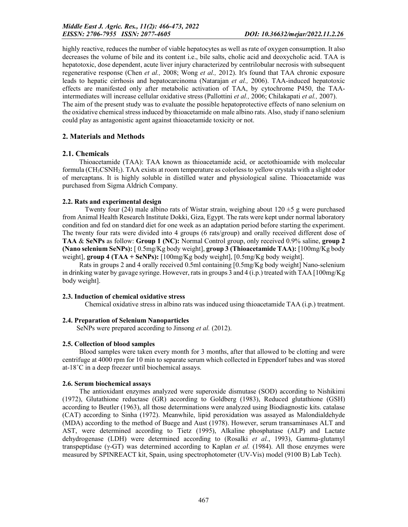highly reactive, reduces the number of viable hepatocytes as well as rate of oxygen consumption. It also decreases the volume of bile and its content i.e., bile salts, cholic acid and deoxycholic acid. TAA is hepatotoxic, dose dependent, acute liver injury characterized by centrilobular necrosis with subsequent regenerative response (Chen *et al.,* 2008; Wong *et al.,* 2012). It's found that TAA chronic exposure leads to hepatic cirrhosis and hepatocarcinoma (Natarajan *et al.,* 2006). TAA-induced hepatotoxic effects are manifested only after metabolic activation of TAA, by cytochrome P450, the TAAintermediates will increase cellular oxidative stress (Pallottini *et al.,* 2006; Chilakapati *et al.,* 2007). The aim of the present study was to evaluate the possible hepatoprotective effects of nano selenium on the oxidative chemical stress induced by thioacetamide on male albino rats. Also, study if nano selenium could play as antagonistic agent against thioacetamide toxicity or not.

# 2. Materials and Methods

# 2.1. Chemicals

Thioacetamide (TAA): TAA known as thioacetamide acid, or acetothioamide with molecular formula  $(CH_3CSNH_2)$ . TAA exists at room temperature as colorless to yellow crystals with a slight odor of mercaptans. It is highly soluble in distilled water and physiological saline. Thioacetamide was purchased from Sigma Aldrich Company.

### 2.2. Rats and experimental design

Twenty four (24) male albino rats of Wistar strain, weighing about  $120 \pm 5$  g were purchased from Animal Health Research Institute Dokki, Giza, Egypt. The rats were kept under normal laboratory condition and fed on standard diet for one week as an adaptation period before starting the experiment. The twenty four rats were divided into 4 groups (6 rats/group) and orally received different dose of TAA & SeNPs as follow: Group 1 (NC): Normal Control group, only received 0.9% saline, group 2 (Nano selenium SeNPs): [ 0.5mg/Kg body weight], group 3 (Thioacetamide TAA): [100mg/Kg body weight], group 4 (TAA + SeNPs):  $[100mg/Kg$  body weight],  $[0.5mg/Kg$  body weight].

Rats in groups 2 and 4 orally received 0.5ml containing [0.5mg/Kg body weight] Nano-selenium in drinking water by gavage syringe. However, rats in groups 3 and 4 (i.p.) treated with TAA  $[100mg/Kg]$ body weight].

### 2.3. Induction of chemical oxidative stress

Chemical oxidative stress in albino rats was induced using thioacetamide TAA (i.p.) treatment.

### 2.4. Preparation of Selenium Nanoparticles

SeNPs were prepared according to Jinsong *et al.* (2012).

### 2.5. Collection of blood samples

Blood samples were taken every month for 3 months, after that allowed to be clotting and were centrifuge at 4000 rpm for 10 min to separate serum which collected in Eppendorf tubes and was stored at-18˚C in a deep freezer until biochemical assays.

### 2.6. Serum biochemical assays

The antioxidant enzymes analyzed were superoxide dismutase (SOD) according to Nishikimi (1972), Glutathione reductase (GR) according to Goldberg (1983), Reduced glutathione (GSH) according to Beutler (1963), all those determinations were analyzed using Biodiagnostic kits. catalase (CAT) according to Sinha (1972). Meanwhile, lipid peroxidation was assayed as Malondialdehyde (MDA) according to the method of Buege and Aust (1978). However, serum transaminases ALT and AST, were determined according to Tietz (1995), Alkaline phosphatase (ALP) and Lactate dehydrogenase (LDH) were determined according to (Rosalki *et al.*, 1993), Gamma-glutamyl transpeptidase (γ-GT) was determined according to Kaplan *et al.* (1984). All those enzymes were measured by SPINREACT kit, Spain, using spectrophotometer (UV-Vis) model (9100 B) Lab Tech).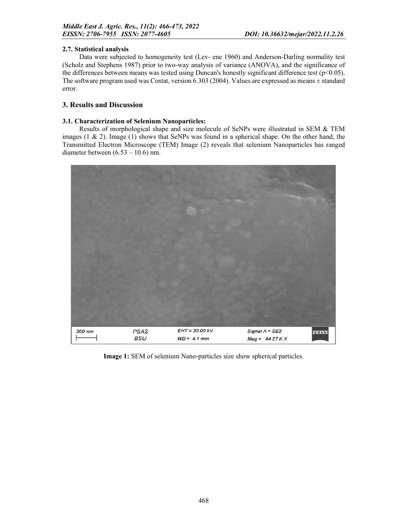#### 2.7. Statistical analysis

Data were subjected to homogeneity test (Lev- ene 1960) and Anderson-Darling normality test (Scholz and Stephens 1987) prior to two-way analysis of variance (ANOVA), and the significance of the differences between means was tested using Duncan's honestly significant difference test ( $p<0.05$ ). The software program used was Costat, version 6.303 (2004). Values are expressed as means ± standard error.

# 3. Results and Discussion

#### 3.1. Characterization of Selenium Nanoparticles:

Results of morphological shape and size molecule of SeNPs were illustrated in SEM & TEM images  $(1 \& 2)$ . Image  $(1)$  shows that SeNPs was found in a spherical shape. On the other hand, the Transmitted Electron Microscope (TEM) Image (2) reveals that selenium Nanoparticles has ranged diameter between (6.53 – 10.6) nm.



Image 1: SEM of selenium Nano-particles size show spherical particles.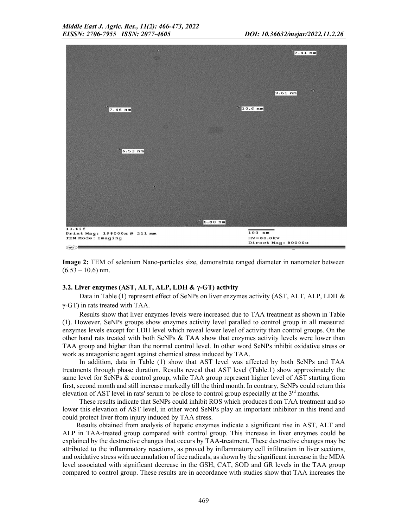| $\sim$                                                                      | $7.41$ nm                                       |
|-----------------------------------------------------------------------------|-------------------------------------------------|
|                                                                             |                                                 |
|                                                                             | $\mathcal{H}_{\mathcal{H}}$<br>$9.61$ nm        |
| $^{13}$ 7.46 nm                                                             | $10.6$ nm                                       |
|                                                                             |                                                 |
| $6.53$ nm                                                                   |                                                 |
|                                                                             |                                                 |
| л                                                                           |                                                 |
|                                                                             |                                                 |
| $6.80$ nm                                                                   |                                                 |
| 13.11f<br>Print Mag: 198000x @ 211 mm<br>TEM Mode: Imaging<br>$\sim$ $\sim$ | $100$ nm<br>$HV = 80.0kV$<br>Direct Mag: 80000x |

Image 2: TEM of selenium Nano-particles size, demonstrate ranged diameter in nanometer between  $(6.53 - 10.6)$  nm.

#### 3.2. Liver enzymes (AST, ALT, ALP, LDH & γ-GT) activity

Data in Table (1) represent effect of SeNPs on liver enzymes activity (AST, ALT, ALP, LDH & γ-GT) in rats treated with TAA.

Results show that liver enzymes levels were increased due to TAA treatment as shown in Table (1). However, SeNPs groups show enzymes activity level paralled to control group in all measured enzymes levels except for LDH level which reveal lower level of activity than control groups. On the other hand rats treated with both SeNPs & TAA show that enzymes activity levels were lower than TAA group and higher than the normal control level. In other word SeNPs inhibit oxidative stress or work as antagonistic agent against chemical stress induced by TAA.

In addition, data in Table (1) show that AST level was affected by both SeNPs and TAA treatments through phase duration. Results reveal that AST level (Table.1) show approximately the same level for SeNPs & control group, while TAA group represent higher level of AST starting from first, second month and still increase markedly till the third month. In contrary, SeNPs could return this elevation of AST level in rats' serum to be close to control group especially at the  $3<sup>rd</sup>$  months.

These results indicate that SeNPs could inhibit ROS which produces from TAA treatment and so lower this elevation of AST level, in other word SeNPs play an important inhibitor in this trend and could protect liver from injury induced by TAA stress.

Results obtained from analysis of hepatic enzymes indicate a significant rise in AST, ALT and ALP in TAA-treated group compared with control group. This increase in liver enzymes could be explained by the destructive changes that occurs by TAA-treatment. These destructive changes may be attributed to the inflammatory reactions, as proved by inflammatory cell infiltration in liver sections, and oxidative stress with accumulation of free radicals, as shown by the significant increase in the MDA level associated with significant decrease in the GSH, CAT, SOD and GR levels in the TAA group compared to control group. These results are in accordance with studies show that TAA increases the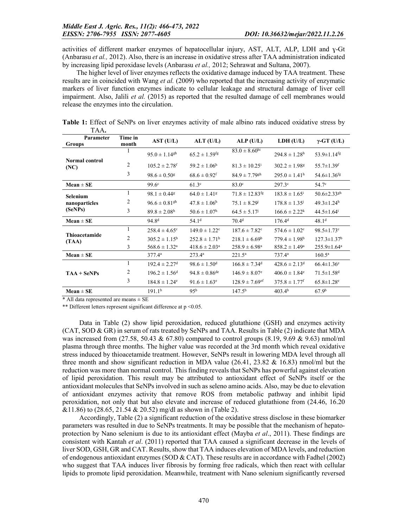activities of different marker enzymes of hepatocellular injury, AST, ALT, ALP, LDH and ɣ-Gt (Anbarasu *et al.,* 2012). Also, there is an increase in oxidative stress after TAA administration indicated by increasing lipid peroxidase levels (Anbarasu *et al.,* 2012; Sehrawat and Sultana, 2007).

The higher level of liver enzymes reflects the oxidative damage induced by TAA treatment. These results are in coincided with Wang *et al.* (2009) who reported that the increasing activity of enzymatic markers of liver function enzymes indicate to cellular leakage and structural damage of liver cell impairment. Also, Jalili *et al.* (2015) as reported that the resulted damage of cell membranes would release the enzymes into the circulation.

| Parameter<br><b>Groups</b>    | Time in<br>month | AST (U/L)                     | $ALT$ (U/L)                   | $ALP$ (U/L)                    | LDH (U/L)                     | $\gamma$ -GT (U/L)            |
|-------------------------------|------------------|-------------------------------|-------------------------------|--------------------------------|-------------------------------|-------------------------------|
| <b>Normal control</b><br>(NC) |                  | $95.0 \pm 1.14$ <sup>gh</sup> | $65.2 \pm 1.59$ <sup>fg</sup> | $83.0 \pm 8.60$ hi             | $294.8 \pm 1.28$ <sup>h</sup> | $53.9 \pm 1.14$ <sup>fg</sup> |
|                               | 2                | $105.2 \pm 2.78$ <sup>f</sup> | $59.2 \pm 1.06^{\rm h}$       | $81.3 \pm 10.25^{\rm i}$       | $302.2 \pm 1.98$ <sup>g</sup> | 55.7 $\pm$ 1.39 $^{\rm f}$    |
|                               | 3                | $98.6 \pm 0.50$ <sup>g</sup>  | $68.6 \pm 0.92$ <sup>f</sup>  | $84.9 \pm 7.79$ <sup>gh</sup>  | $295.0 \pm 1.41^{\rm h}$      | $54.6 \pm 1.36$ <sup>fg</sup> |
| $Mean \pm SE$                 |                  | $99.6^{\circ}$                | 61.3 <sup>c</sup>             | $83.0^\circ$                   | $297.3^{\circ}$               | 54.7 <sup>c</sup>             |
| Selenium                      | 1                | $98.1 \pm 0.44$ <sup>g</sup>  | $64.0 \pm 1.41$ <sup>g</sup>  | $71.8 \pm 12.83$ <sup>fg</sup> | $183.8 \pm 1.65^{\mathrm{i}}$ | 50.6 $\pm$ 2.33 <sup>gh</sup> |
| nanoparticles<br>(SeNPs)      | 2                | $96.6 \pm 0.81$ <sup>gh</sup> | $47.8 \pm 1.06^{\rm h}$       | $75.1 \pm 8.29$                | $178.8 \pm 1.35^{j}$          | $49.3 \pm 1.24$ <sup>h</sup>  |
|                               | 3                | $89.8 \pm 2.08^{\rm h}$       | $50.6 \pm 1.07^{\rm h}$       | $64.5 \pm 5.17$ <sup>j</sup>   | $166.6 \pm 2.22^k$            | $44.5 \pm 1.64$ <sup>i</sup>  |
| $Mean \pm SE$                 |                  | 94.8 <sup>d</sup>             | 54.1 <sup>d</sup>             | 70.4 <sup>d</sup>              | 176.4 <sup>d</sup>            | 48.1 <sup>d</sup>             |
| Thioacetamide<br>(TAA)        | 1                | $258.4 \pm 4.65$ <sup>c</sup> | $149.0 \pm 1.22$ <sup>c</sup> | $187.6 \pm 7.82$ <sup>c</sup>  | $574.6 \pm 1.02$ <sup>c</sup> | $98.5 \pm 1.73$ °             |
|                               | 2                | $305.2 \pm 1.15^{\rm b}$      | $252.8 \pm 1.71^b$            | $218.1 \pm 6.69^b$             | $779.4 \pm 1.98^{\rm b}$      | $127.3 \pm 1.37$ <sup>b</sup> |
|                               | 3                | $568.6 \pm 1.32^a$            | $418.6 \pm 2.03^{\rm a}$      | $258.9 \pm 6.98^a$             | $858.2 \pm 1.49^a$            | $255.9 \pm 1.64^a$            |
| $Mean \pm SE$                 |                  | 377.4a                        | $273.4^{\circ}$               | $221.5^{\rm a}$                | $737.4^{\rm a}$               | $160.5^{\rm a}$               |
| $TAA + SeNPs$                 | 1                | $192.4 \pm 2.27$ <sup>d</sup> | $98.6 \pm 1.50$ <sup>d</sup>  | $166.8 \pm 7.34$ <sup>d</sup>  | $428.6 \pm 2.13$ <sup>d</sup> | $66.4 \pm 1.36$ <sup>e</sup>  |
|                               | 2                | $196.2 \pm 1.56$ <sup>d</sup> | $94.8 \pm 0.86^{\text{de}}$   | $146.9 \pm 8.07$ <sup>e</sup>  | $406.0 \pm 1.84$ <sup>e</sup> | $71.5 \pm 1.58$ <sup>d</sup>  |
|                               | 3                | $184.8 \pm 1.24$ <sup>e</sup> | $91.6 \pm 1.63$ <sup>e</sup>  | $128.9 \pm 7.69$ <sup>ef</sup> | $375.8 \pm 1.77$ <sup>f</sup> | $65.8 \pm 1.28$ <sup>e</sup>  |
| $Mean \pm SE$                 |                  | 191.1 <sup>b</sup>            | 95 <sup>b</sup>               | 147.5 <sup>b</sup>             | 403.4 <sup>b</sup>            | 67.9 <sup>b</sup>             |

Table 1: Effect of SeNPs on liver enzymes activity of male albino rats induced oxidative stress by TAA.

 $*$  All data represented are means  $\pm$  SE

\*\* Different letters represent significant difference at  $p \le 0.05$ .

Data in Table (2) show lipid peroxidation, reduced glutathione (GSH) and enzymes activity (CAT, SOD & GR) in serum of rats treated by SeNPs and TAA. Results in Table (2) indicate that MDA was increased from  $(27.58, 50.43 \& 67.80)$  compared to control groups  $(8.19, 9.69 \& 9.63)$  nmol/ml plasma through three months. The higher value was recorded at the 3rd month which reveal oxidative stress induced by thioacetamide treatment. However, SeNPs result in lowering MDA level through all three month and show significant reduction in MDA value  $(26.41, 23.82 \& 16.83)$  nmol/ml but the reduction was more than normal control. This finding reveals that SeNPs has powerful against elevation of lipid peroxidation. This result may be attributed to antioxidant effect of SeNPs itself or the antioxidant molecules that SeNPs involved in such as seleno amino acids. Also, may be due to elevation of antioxidant enzymes activity that remove ROS from metabolic pathway and inhibit lipid peroxidation, not only that but also elevate and increase of reduced glutathione from (24.46, 16.20 &11.86) to (28.65, 21.54 & 20.52) mg/dl as shown in (Table 2).

Accordingly, Table (2) a significant reduction of the oxidative stress disclose in these biomarker parameters was resulted in due to SeNPs treatments. It may be possible that the mechanism of hepatoprotection by Nano selenium is due to its antioxidant effect (Mayba *et al*., 2011). These findings are consistent with Kantah *et al*. (2011) reported that TAA caused a significant decrease in the levels of liver SOD, GSH, GR and CAT. Results, show that TAA induces elevation of MDA levels, and reduction of endogenous antioxidant enzymes (SOD & CAT). These results are in accordance with Fadhel (2002) who suggest that TAA induces liver fibrosis by forming free radicals, which then react with cellular lipids to promote lipid peroxidation. Meanwhile, treatment with Nano selenium significantly reversed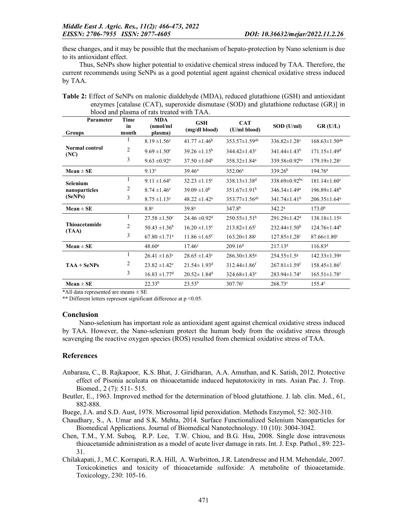these changes, and it may be possible that the mechanism of hepato-protection by Nano selenium is due to its antioxidant effect.

Thus, SeNPs show higher potential to oxidative chemical stress induced by TAA. Therefore, the current recommends using SeNPs as a good potential agent against chemical oxidative stress induced by TAA.

| blood and plasma of rats treated with TAA.  |                            |                                    |                               |                                 |                                 |                                 |  |  |
|---------------------------------------------|----------------------------|------------------------------------|-------------------------------|---------------------------------|---------------------------------|---------------------------------|--|--|
| Parameter<br>Groups                         | <b>Time</b><br>in<br>month | <b>MDA</b><br>(nmol/ml)<br>plasma) | <b>GSH</b><br>(mg/dl blood)   | <b>CAT</b><br>(U/ml blood)      | SOD (U/ml)                      | GR(U/L)                         |  |  |
| Normal control<br>(NC)                      |                            | $8.19 \pm 1.56$ <sup>e</sup>       | $41.77 \pm 1.46^b$            | $353.57 \pm 1.59$ <sup>ab</sup> | $336.82 \pm 1.28$ °             | $168.63 \pm 1.50$ <sup>de</sup> |  |  |
|                                             | 2                          | $9.69 \pm 1.50$ <sup>e</sup>       | $39.26 \pm 1.15^b$            | $344.42 \pm 1.43$ °             | $341.44 \pm 1.43^b$             | $171.15 \pm 1.49$ <sup>d</sup>  |  |  |
|                                             | 3                          | $9.63 \pm 0.92$ <sup>e</sup>       | $37.50 \pm 1.04^b$            | 358.32±1.84 <sup>a</sup>        | 339.58 $\pm$ 0.92 <sup>bc</sup> | $179.19 \pm 1.28$ c             |  |  |
| $Mean \pm SE$                               |                            | 9.13 <sup>c</sup>                  | $39.46^{\rm a}$               | 352.06 <sup>a</sup>             | 339.26 <sup>b</sup>             | $194.76^{\rm a}$                |  |  |
| <b>Selenium</b><br>nanoparticles<br>(SeNPs) | 1                          | $9.11 \pm 1.64$ <sup>e</sup>       | $32.23 \pm 1.15$ °            | 338.13±1.38 <sup>d</sup>        | $338.69 \pm 0.92$ bc            | $181.14 \pm 1.60$ <sup>c</sup>  |  |  |
|                                             | 2                          | $8.74 \pm 1.46$ <sup>e</sup>       | $39.09 \pm 1.0^b$             | $351.67 \pm 1.91^b$             | $346.34 \pm 1.49^a$             | $196.89 \pm 1.48$ <sup>b</sup>  |  |  |
|                                             | 3                          | $8.75 \pm 1.13$ <sup>e</sup>       | $48.22 \pm 1.42^a$            | $353.77 \pm 1.56$ <sup>ab</sup> | $341.74 \pm 1.41^b$             | $206.35 \pm 1.64$ <sup>a</sup>  |  |  |
| $Mean \pm SE$                               |                            | 8.8 <sup>c</sup>                   | 39.8 <sup>a</sup>             | 347.8 <sup>b</sup>              | $342.2^{\rm a}$                 | 173.0 <sup>b</sup>              |  |  |
| Thioacetamide<br>(TAA)                      | 1                          | $27.58 \pm 1.50$ <sup>c</sup>      | $24.46 \pm 0.92$ <sup>d</sup> | $250.55 \pm 1.51^{\mathrm{h}}$  | $291.29 \pm 1.42$ <sup>d</sup>  | 138.18±1.15g                    |  |  |
|                                             | 2                          | $50.43 \pm 1.36^b$                 | $16.20 \pm 1.15$ <sup>e</sup> | $213.82 \pm 1.65$ <sup>i</sup>  | $232.44 \pm 1.50$ <sup>h</sup>  | $124.76 \pm 1.44$ <sup>h</sup>  |  |  |
|                                             | 3                          | $67.80 \pm 1.71$ <sup>a</sup>      | $11.86 \pm 1.65$ <sup>f</sup> | $163.20 \pm 1.88$               | $127.85 \pm 1.28$ <sup>i</sup>  | $87.66 \pm 1.80$ <sup>i</sup>   |  |  |
| $Mean \pm SE$                               |                            | 48.60 <sup>a</sup>                 | $17.46^{\circ}$               | 209.16 <sup>d</sup>             | 217.13 <sup>d</sup>             | $116.83^d$                      |  |  |
| $TAA + SeNPs$                               | 1                          | $26.41 \pm 1.63$ <sup>c</sup>      | $28.65 \pm 1.43$ °            | 286.30±1.85 <sup>g</sup>        | 254.55±1.5 <sup>g</sup>         | $142.33 \pm 1.39$ <sup>g</sup>  |  |  |
|                                             | 2                          | $23.82 \pm 1.42$ <sup>c</sup>      | $21.54 \pm 1.93$ <sup>d</sup> | $312.44 \pm 1.86$ <sup>f</sup>  | $267.81 \pm 1.59$ <sup>f</sup>  | $158.45 \pm 1.86$ <sup>f</sup>  |  |  |
|                                             | 3                          | $16.83 \pm 1.77$ <sup>d</sup>      | $20.52 \pm 1.84$ <sup>d</sup> | 324.68±1.43 <sup>e</sup>        | $283.94 \pm 1.74$ <sup>e</sup>  | $165.51 \pm 1.78$ <sup>e</sup>  |  |  |
| $Mean \pm SE$                               |                            | 22.33 <sup>b</sup>                 | 23.53 <sup>b</sup>            | $307.76^{\circ}$                | $268.73^{\circ}$                | $155.4^{\circ}$                 |  |  |

Table 2: Effect of SeNPs on malonic dialdehyde (MDA), reduced glutathione (GSH) and antioxidant enzymes [catalase (CAT), superoxide dismutase (SOD) and glutathione reductase (GR)] in blood and plasma of rats treated with TAA.

\*All data represented are means ± SE

\*\* Different letters represent significant difference at  $p \le 0.05$ .

#### Conclusion

Nano-selenium has important role as antioxidant agent against chemical oxidative stress induced by TAA. However, the Nano-selenium protect the human body from the oxidative stress through scavenging the reactive oxygen species (ROS) resulted from chemical oxidative stress of TAA.

#### References

- Anbarasu, C., B. Rajkapoor, K.S. Bhat, J. Giridharan, A.A. Amuthan, and K. Satish, 2012. Protective effect of Pisonia aculeata on thioacetamide induced hepatotoxicity in rats. Asian Pac. J. Trop. Biomed., 2 (7): 511- 515.
- Beutler, E., 1963. Improved method for the determination of blood glutathione. J. lab. clin. Med., 61, 882-888.

Buege, J.A. and S.D. Aust, 1978. Microsomal lipid peroxidation. Methods Enzymol, 52: 302-310.

- Chaudhary, S., A. Umar and S.K. Mehta, 2014. Surface Functionalized Selenium Nanoparticles for Biomedical Applications. Journal of Biomedical Nanotechnology. 10 (10): 3004-3042.
- Chen, T.M., Y.M. Subeq, R.P. Lee, T.W. Chiou, and B.G. Hsu, 2008. Single dose intravenous thioacetamide administration as a model of acute liver damage in rats. Int. J. Exp. Pathol., 89: 223- 31.
- Chilakapati, J., M.C. Korrapati, R.A. Hill, A. Warbritton, J.R. Latendresse and H.M. Mehendale, 2007. Toxicokinetics and toxicity of thioacetamide sulfoxide: A metabolite of thioacetamide. Toxicology, 230: 105-16.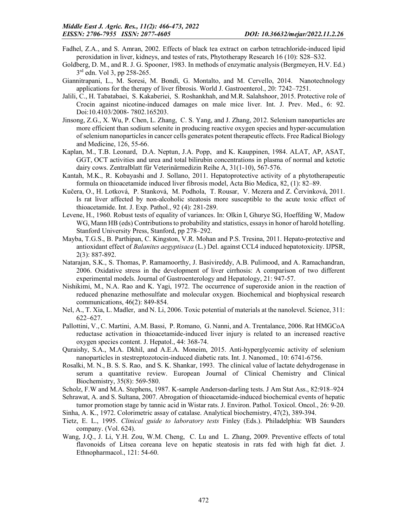- Fadhel, Z.A., and S. Amran, 2002. Effects of black tea extract on carbon tetrachloride-induced lipid peroxidation in liver, kidneys, and testes of rats, Phytotherapy Research 16 (10): S28–S32.
- Goldberg, D. M., and R. J. G. Spooner, 1983. In methods of enzymatic analysis (Bergmeyen, H.V. Ed.) 3rd edn. Vol 3, pp 258-265.
- Giannitrapani, L., M. Soresi, M. Bondì, G. Montalto, and M. Cervello, 2014. Nanotechnology applications for the therapy of liver fibrosis. World J. Gastroenterol., 20: 7242–7251.
- Jalili, C., H. Tabatabaei, S. Kakaberiei, S. Roshankhah, and M.R. Salahshoor, 2015. Protective role of Crocin against nicotine-induced damages on male mice liver. Int. J. Prev. Med., 6: 92. Doi:10.4103/2008- 7802.165203.
- Jinsong, Z.G., X. Wu, P. Chen, L. Zhang, C. S. Yang, and J. Zhang, 2012. Selenium nanoparticles are more efficient than sodium selenite in producing reactive oxygen species and hyper-accumulation of selenium nanoparticles in cancer cells generates potent therapeutic effects. Free Radical Biology and Medicine, 126, 55-66.
- Kaplan, M., T.B. Leonard, D.A. Neptun, J.A. Popp, and K. Kauppinen, 1984. ALAT, AP, ASAT, GGT, OCT activities and urea and total bilirubin concentrations in plasma of normal and ketotic dairy cows. Zentralblatt für Veterinärmedizin Reihe A, 31(1‐10), 567-576.
- Kantah, M.K., R. Kobayashi and J. Sollano, 2011. Hepatoprotective activity of a phytotherapeutic formula on thioacetamide induced liver fibrosis model, Acta Bio Medica, 82, (1): 82–89.
- Kučera, O., H. Lotková, P. Stanková, M. Podhola, T. Rousar, V. Mezera and Z. Červinková, 2011. Is rat liver affected by non-alcoholic steatosis more susceptible to the acute toxic effect of thioacetamide. Int. J. Exp. Pathol., 92 (4): 281-289.
- Levene, H., 1960. Robust tests of equality of variances. In: Olkin I, Ghurye SG, Hoeffding W, Madow WG, Mann HB (eds) Contributions to probability and statistics, essays in honor of harold hotelling. Stanford University Press, Stanford, pp 278–292.
- Mayba, T.G.S., B. Parthipan, C. Kingston, V.R. Mohan and P.S. Tresina, 2011. Hepato-protective and antioxidant effect of *Balanites aegyptisaca* (L.) Del. against CCL4 induced hepatotoxicity. IJPSR, 2(3): 887-892.
- Natarajan, S.K., S. Thomas, P. Ramamoorthy, J. Basivireddy, A.B. Pulimood, and A. Ramachandran, 2006. Oxidative stress in the development of liver cirrhosis: A comparison of two different experimental models. Journal of Gastroenterology and Hepatology, 21: 947-57.
- Nishikimi, M., N.A. Rao and K. Yagi, 1972. The occurrence of superoxide anion in the reaction of reduced phenazine methosulfate and molecular oxygen. Biochemical and biophysical research communications, 46(2): 849-854.
- Nel, A., T. Xia, L. Madler, and N. Li, 2006. Toxic potential of materials at the nanolevel. Science, 311: 622–627.
- Pallottini, V., C. Martini, A.M. Bassi, P. Romano, G. Nanni, and A. Trentalance, 2006. Rat HMGCoA reductase activation in thioacetamide-induced liver injury is related to an increased reactive oxygen species content. J. Hepatol., 44: 368-74.
- Quraishy, S.A., M.A. Dkhil, and A.E.A. Moneim, 2015. Anti-hyperglycemic activity of selenium nanoparticles in stestreptozotocin-induced diabetic rats. Int. J. Nanomed., 10: 6741-6756.
- Rosalki, M. N., B. S. S. Rao, and S. K. Shankar, 1993. The clinical value of lactate dehydrogenase in serum a quantitative review. European Journal of Clinical Chemistry and Clinical Biochemistry, 35(8): 569-580.
- Scholz, F.W and M.A. Stephens, 1987. K-sample Anderson-darling tests. J Am Stat Ass., 82:918–924
- Sehrawat, A. and S. Sultana, 2007. Abrogation of thioacetamide-induced biochemical events of hepatic tumor promotion stage by tannic acid in Wistar rats. J. Environ. Pathol. Toxicol. Oncol., 26: 9-20.
- Sinha, A. K., 1972. Colorimetric assay of catalase. Analytical biochemistry, 47(2), 389-394.
- Tietz, E. L., 1995. *Clinical guide to laboratory tests* Finley (Eds.). Philadelphia: WB Saunders company. (Vol. 624).
- Wang, J.Q., J. Li, Y.H. Zou, W.M. Cheng, C. Lu and L. Zhang, 2009. Preventive effects of total flavonoids of Litsea coreana leve on hepatic steatosis in rats fed with high fat diet. J. Ethnopharmacol., 121: 54-60.